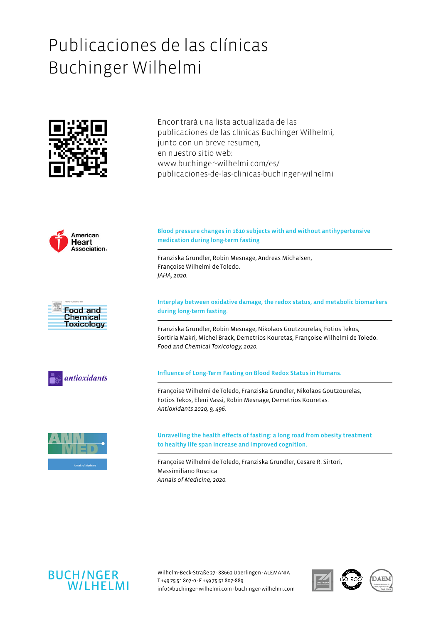# Publicaciones de las clínicas Buchinger Wilhelmi



American Heart **Association** 





Encontrará una lista actualizada de las [publicaciones de las clínicas Buchinger Wilhelmi,](http://www.buchinger-wilhelmi.com/es/publicaciones-de-las-clinicas-buchinger-wilhelmi/)  junto con un breve resumen, en nuestro sitio web: www.buchinger-wilhelmi.com/es/ publicaciones-de-las-clinicas-buchinger-wilhelmi

Blood pressure changes in 1610 subjects with and without antihypertensive medication during long-term fasting

Franziska Grundler, Robin Mesnage, Andreas Michalsen, Françoise Wilhelmi de Toledo. *JAHA, 2020.*

Interplay between oxidative damage, the redox status, and metabolic biomarkers during long-term fasting.

Franziska Grundler, Robin Mesnage, Nikolaos Goutzourelas, Fotios Tekos, Sortiria Makri, Michel Brack, Demetrios Kouretas, Françoise Wilhelmi de Toledo. *Food and Chemical Toxicology, 2020.* 

# Influence of Long-Term Fasting on Blood Redox Status in Humans.

Françoise Wilhelmi de Toledo, Franziska Grundler, Nikolaos Goutzourelas, Fotios Tekos, Eleni Vassi, Robin Mesnage, Demetrios Kouretas. *Antioxidants 2020, 9, 496.* 



Unravelling the health effects of fasting: a long road from obesity treatment to healthy life span increase and improved cognition.

Françoise Wilhelmi de Toledo, Franziska Grundler, Cesare R. Sirtori, Massimiliano Ruscica. *Annals of Medicine, 2020.*





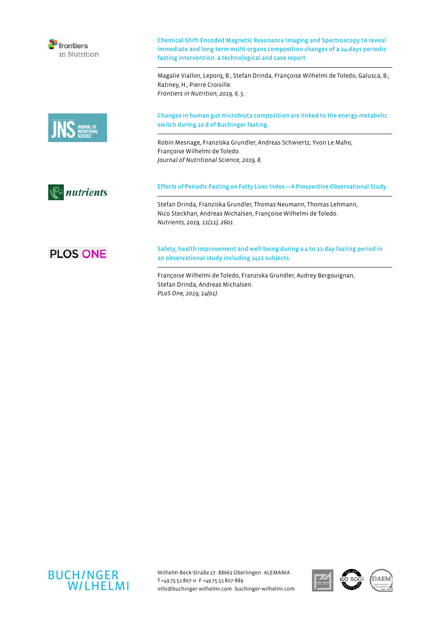| ontiers<br>in Nutrition | Chemical-Shift-Encoded Magnetic Resonance Imaging and Spectroscopy to reveal<br>immediate and long-term multi-organs composition changes of a 14-days periodic<br>fasting intervention: a technological and case report. |
|-------------------------|--------------------------------------------------------------------------------------------------------------------------------------------------------------------------------------------------------------------------|
|                         | Magalie Viallon, Leporq, B.; Stefan Drinda, Françoise Wilhelmi de Toledo, Galusca, B.;<br>Ratiney, H.; Pierre Croisille.<br>Frontiers in Nutrition, 2019, 6, 5.                                                          |
|                         | Changes in human gut microbiota composition are linked to the energy metabolic<br>switch during 10 d of Buchinger fasting.                                                                                               |
|                         | Robin Mesnage, Franziska Grundler, Andreas Schwiertz, Yvon Le Maho,<br>Françoise Wilhelmi de Toledo.<br>Journal of Nutritional Science, 2019, 8.                                                                         |
| utrients                | Effects of Periodic Fasting on Fatty Liver Index-A Prospective Observational Study.                                                                                                                                      |
|                         | Stefan Drinda, Franziska Grundler, Thomas Neumann, Thomas Lehmann,<br>Nico Steckhan, Andreas Michalsen, Françoise Wilhelmi de Toledo.<br>Nutrients, 2019, 11(11), 2601.                                                  |
| <b>PLOS ONE</b>         | Safety, health improvement and well-being during a 4 to 21-day fasting period in<br>an observational study including 1422 subjects.                                                                                      |
|                         | Françoise Wilhelmi de Toledo, Franziska Grundler, Audrey Bergouignan,<br>Stefan Drinda, Andreas Michalsen.<br>PLoS One, 2019, 14(01).                                                                                    |



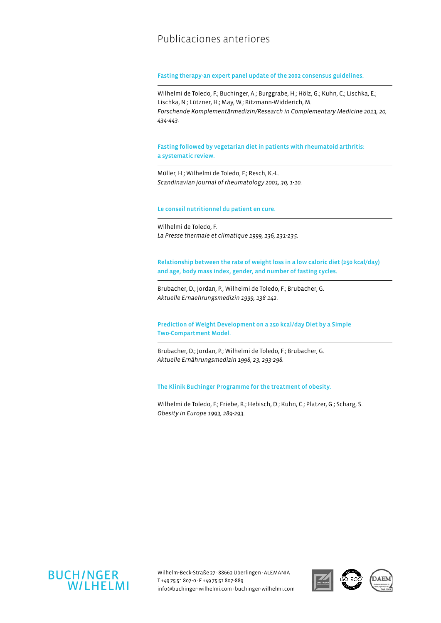# Publicaciones anteriores

#### Fasting therapy-an expert panel update of the 2002 consensus guidelines.

Wilhelmi de Toledo, F.; Buchinger, A.; Burggrabe, H.; Hölz, G.; Kuhn, C.; Lischka, E.; Lischka, N.; Lützner, H.; May, W.; Ritzmann-Widderich, M. *Forschende Komplementärmedizin/Research in Complementary Medicine 2013, 20, 434-443.*

Fasting followed by vegetarian diet in patients with rheumatoid arthritis: a systematic review.

Müller, H.; Wilhelmi de Toledo, F.; Resch, K.-L. *Scandinavian journal of rheumatology 2001, 30, 1-10.*

#### Le conseil nutritionnel du patient en cure.

Wilhelmi de Toledo, F. *La Presse thermale et climatique 1999, 136, 231-235.*

Relationship between the rate of weight loss in a low caloric diet (250 kcal/day) and age, body mass index, gender, and number of fasting cycles.

Brubacher, D.; Jordan, P.; Wilhelmi de Toledo, F.; Brubacher, G. *Aktuelle Ernaehrungsmedizin 1999, 138-142.*

Prediction of Weight Development on a 250 kcal/day Diet by a Simple Two-Compartment Model.

Brubacher, D.; Jordan, P.; Wilhelmi de Toledo, F.; Brubacher, G. *Aktuelle Ernährungsmedizin 1998, 23, 293-298.*

The Klinik Buchinger Programme for the treatment of obesity.

Wilhelmi de Toledo, F.; Friebe, R.; Hebisch, D.; Kuhn, C.; Platzer, G.; Scharg, S. *Obesity in Europe 1993, 289-293.*